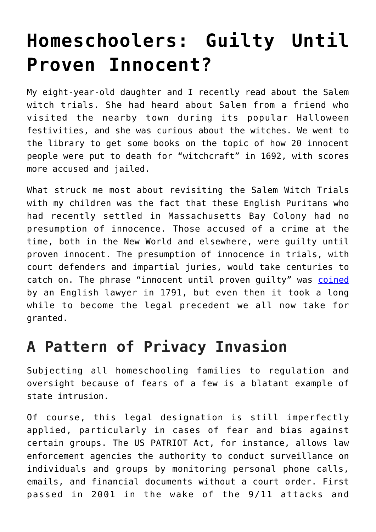## **[Homeschoolers: Guilty Until](https://intellectualtakeout.org/2019/02/homeschoolers-guilty-until-proven-innocent/) [Proven Innocent?](https://intellectualtakeout.org/2019/02/homeschoolers-guilty-until-proven-innocent/)**

My eight-year-old daughter and I recently read about the Salem witch trials. She had heard about Salem from a friend who visited the nearby town during its popular Halloween festivities, and she was curious about the witches. We went to the library to get some books on the topic of how 20 innocent people were put to death for "witchcraft" in 1692, with scores more accused and jailed.

What struck me most about revisiting the Salem Witch Trials with my children was the fact that these English Puritans who had recently settled in Massachusetts Bay Colony had no presumption of innocence. Those accused of a crime at the time, both in the New World and elsewhere, were guilty until proven innocent. The presumption of innocence in trials, with court defenders and impartial juries, would take centuries to catch on. The phrase "innocent until proven guilty" was [coined](https://en.wikipedia.org/wiki/William_Garrow) by an English lawyer in 1791, but even then it took a long while to become the legal precedent we all now take for granted.

## **A Pattern of Privacy Invasion**

Subjecting all homeschooling families to regulation and oversight because of fears of a few is a blatant example of state intrusion.

Of course, this legal designation is still imperfectly applied, particularly in cases of fear and bias against certain groups. The US PATRIOT Act, for instance, allows law enforcement agencies the authority to conduct surveillance on individuals and groups by monitoring personal phone calls, emails, and financial documents without a court order. First passed in 2001 in the wake of the 9/11 attacks and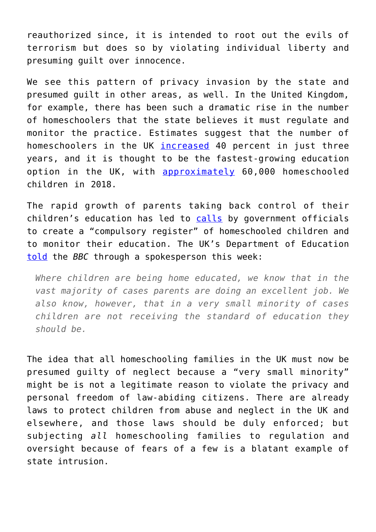reauthorized since, it is intended to root out the evils of terrorism but does so by violating individual liberty and presuming guilt over innocence.

We see this pattern of privacy invasion by the state and presumed guilt in other areas, as well. In the United Kingdom, for example, there has been such a dramatic rise in the number of homeschoolers that the state believes it must regulate and monitor the practice. Estimates suggest that the number of homeschoolers in the UK [increased](https://www.theguardian.com/education/2018/nov/03/get-to-be-free-rise-in-home-schooling) 40 percent in just three years, and it is thought to be the fastest-growing education option in the UK, with [approximately](https://www.bbc.com/news/education-47112319) 60,000 homeschooled children in 2018.

The rapid growth of parents taking back control of their children's education has led to [calls](https://www.bbc.com/news/education-47112319) by government officials to create a "compulsory register" of homeschooled children and to monitor their education. The UK's Department of Education [told](https://www.bbc.com/news/education-47112319) the *BBC* through a spokesperson this week:

*Where children are being home educated, we know that in the vast majority of cases parents are doing an excellent job. We also know, however, that in a very small minority of cases children are not receiving the standard of education they should be.*

The idea that all homeschooling families in the UK must now be presumed guilty of neglect because a "very small minority" might be is not a legitimate reason to violate the privacy and personal freedom of law-abiding citizens. There are already laws to protect children from abuse and neglect in the UK and elsewhere, and those laws should be duly enforced; but subjecting *all* homeschooling families to regulation and oversight because of fears of a few is a blatant example of state intrusion.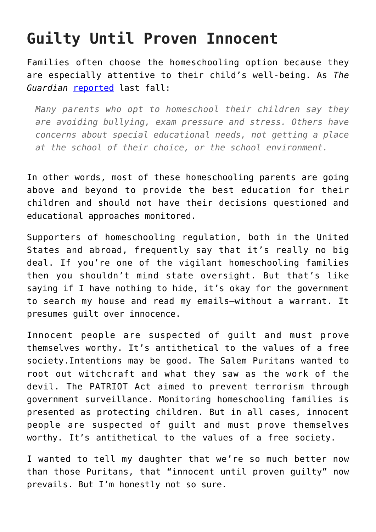## **Guilty Until Proven Innocent**

Families often choose the homeschooling option because they are especially attentive to their child's well-being. As *The Guardian* [reported](https://www.theguardian.com/education/2018/nov/03/get-to-be-free-rise-in-home-schooling) last fall:

*Many parents who opt to homeschool their children say they are avoiding bullying, exam pressure and stress. Others have concerns about special educational needs, not getting a place at the school of their choice, or the school environment.*

In other words, most of these homeschooling parents are going above and beyond to provide the best education for their children and should not have their decisions questioned and educational approaches monitored.

Supporters of homeschooling regulation, both in the United States and abroad, frequently say that it's really no big deal. If you're one of the vigilant homeschooling families then you shouldn't mind state oversight. But that's like saying if I have nothing to hide, it's okay for the government to search my house and read my emails—without a warrant. It presumes guilt over innocence.

Innocent people are suspected of guilt and must prove themselves worthy. It's antithetical to the values of a free society.Intentions may be good. The Salem Puritans wanted to root out witchcraft and what they saw as the work of the devil. The PATRIOT Act aimed to prevent terrorism through government surveillance. Monitoring homeschooling families is presented as protecting children. But in all cases, innocent people are suspected of guilt and must prove themselves worthy. It's antithetical to the values of a free society.

I wanted to tell my daughter that we're so much better now than those Puritans, that "innocent until proven guilty" now prevails. But I'm honestly not so sure.